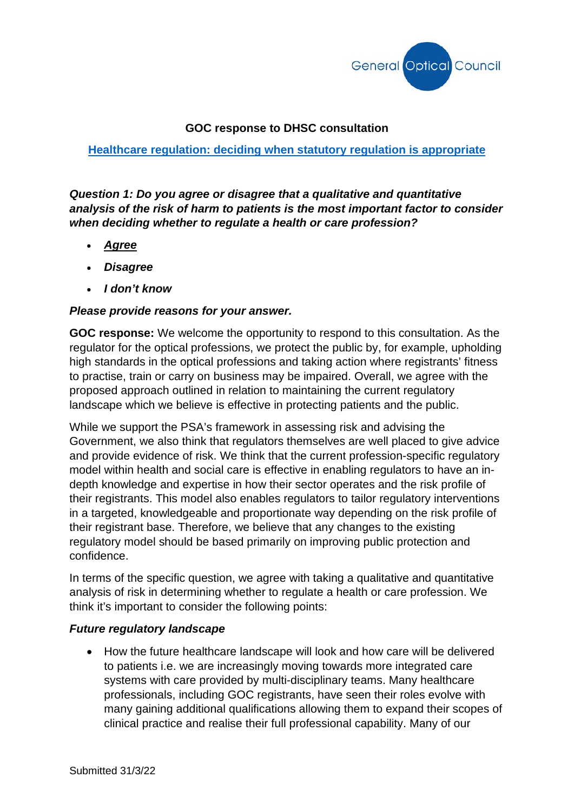

#### **GOC response to DHSC consultation**

#### **[Healthcare regulation: deciding when statutory regulation is appropriate](https://www.gov.uk/government/consultations/healthcare-regulation-deciding-when-statutory-regulation-is-appropriate/healthcare-regulation-deciding-when-statutory-regulation-is-appropriate)**

*Question 1: Do you agree or disagree that a qualitative and quantitative analysis of the risk of harm to patients is the most important factor to consider when deciding whether to regulate a health or care profession?* 

- *Agree*
- *Disagree*
- *I don't know*

#### *Please provide reasons for your answer.*

**GOC response:** We welcome the opportunity to respond to this consultation. As the regulator for the optical professions, we protect the public by, for example, upholding high standards in the optical professions and taking action where registrants' fitness to practise, train or carry on business may be impaired. Overall, we agree with the proposed approach outlined in relation to maintaining the current regulatory landscape which we believe is effective in protecting patients and the public.

While we support the PSA's framework in assessing risk and advising the Government, we also think that regulators themselves are well placed to give advice and provide evidence of risk. We think that the current profession-specific regulatory model within health and social care is effective in enabling regulators to have an indepth knowledge and expertise in how their sector operates and the risk profile of their registrants. This model also enables regulators to tailor regulatory interventions in a targeted, knowledgeable and proportionate way depending on the risk profile of their registrant base. Therefore, we believe that any changes to the existing regulatory model should be based primarily on improving public protection and confidence.

In terms of the specific question, we agree with taking a qualitative and quantitative analysis of risk in determining whether to regulate a health or care profession. We think it's important to consider the following points:

#### *Future regulatory landscape*

• How the future healthcare landscape will look and how care will be delivered to patients i.e. we are increasingly moving towards more integrated care systems with care provided by multi-disciplinary teams. Many healthcare professionals, including GOC registrants, have seen their roles evolve with many gaining additional qualifications allowing them to expand their scopes of clinical practice and realise their full professional capability. Many of our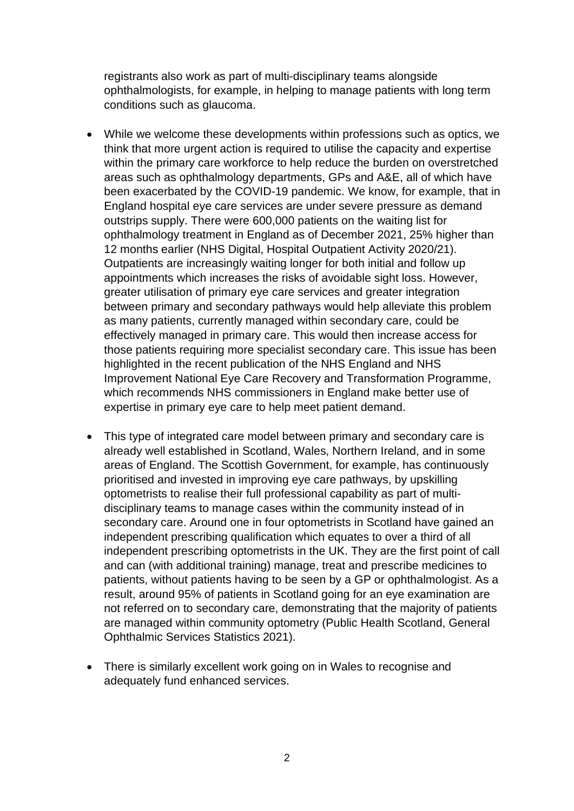registrants also work as part of multi-disciplinary teams alongside ophthalmologists, for example, in helping to manage patients with long term conditions such as glaucoma.

- While we welcome these developments within professions such as optics, we think that more urgent action is required to utilise the capacity and expertise within the primary care workforce to help reduce the burden on overstretched areas such as ophthalmology departments, GPs and A&E, all of which have been exacerbated by the COVID-19 pandemic. We know, for example, that in England hospital eye care services are under severe pressure as demand outstrips supply. There were 600,000 patients on the waiting list for ophthalmology treatment in England as of December 2021, 25% higher than 12 months earlier (NHS Digital, Hospital Outpatient Activity 2020/21). Outpatients are increasingly waiting longer for both initial and follow up appointments which increases the risks of avoidable sight loss. However, greater utilisation of primary eye care services and greater integration between primary and secondary pathways would help alleviate this problem as many patients, currently managed within secondary care, could be effectively managed in primary care. This would then increase access for those patients requiring more specialist secondary care. This issue has been highlighted in the recent publication of the NHS England and NHS Improvement National Eye Care Recovery and Transformation Programme, which recommends NHS commissioners in England make better use of expertise in primary eye care to help meet patient demand.
- This type of integrated care model between primary and secondary care is already well established in Scotland, Wales, Northern Ireland, and in some areas of England. The Scottish Government, for example, has continuously prioritised and invested in improving eye care pathways, by upskilling optometrists to realise their full professional capability as part of multidisciplinary teams to manage cases within the community instead of in secondary care. Around one in four optometrists in Scotland have gained an independent prescribing qualification which equates to over a third of all independent prescribing optometrists in the UK. They are the first point of call and can (with additional training) manage, treat and prescribe medicines to patients, without patients having to be seen by a GP or ophthalmologist. As a result, around 95% of patients in Scotland going for an eye examination are not referred on to secondary care, demonstrating that the majority of patients are managed within community optometry (Public Health Scotland, General Ophthalmic Services Statistics 2021).
- There is similarly excellent work going on in Wales to recognise and adequately fund enhanced services.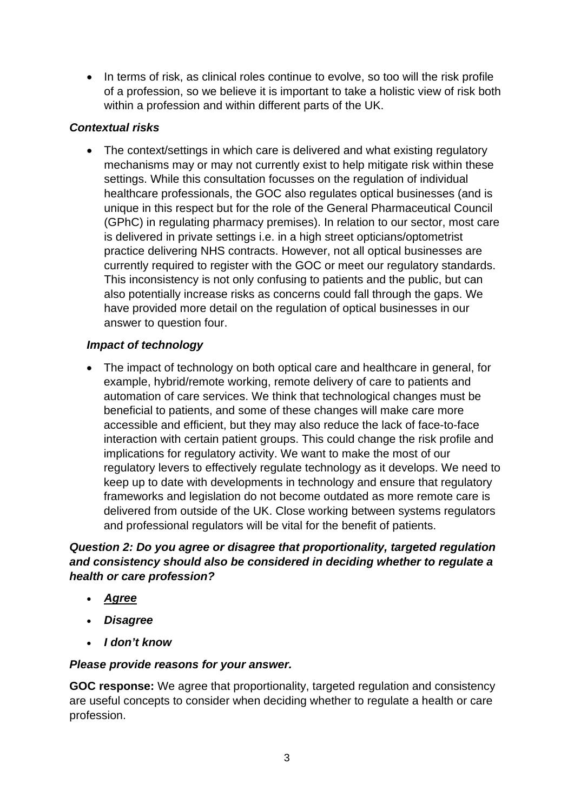• In terms of risk, as clinical roles continue to evolve, so too will the risk profile of a profession, so we believe it is important to take a holistic view of risk both within a profession and within different parts of the UK.

# *Contextual risks*

• The context/settings in which care is delivered and what existing regulatory mechanisms may or may not currently exist to help mitigate risk within these settings. While this consultation focusses on the regulation of individual healthcare professionals, the GOC also regulates optical businesses (and is unique in this respect but for the role of the General Pharmaceutical Council (GPhC) in regulating pharmacy premises). In relation to our sector, most care is delivered in private settings i.e. in a high street opticians/optometrist practice delivering NHS contracts. However, not all optical businesses are currently required to register with the GOC or meet our regulatory standards. This inconsistency is not only confusing to patients and the public, but can also potentially increase risks as concerns could fall through the gaps. We have provided more detail on the regulation of optical businesses in our answer to question four.

# *Impact of technology*

• The impact of technology on both optical care and healthcare in general, for example, hybrid/remote working, remote delivery of care to patients and automation of care services. We think that technological changes must be beneficial to patients, and some of these changes will make care more accessible and efficient, but they may also reduce the lack of face-to-face interaction with certain patient groups. This could change the risk profile and implications for regulatory activity. We want to make the most of our regulatory levers to effectively regulate technology as it develops. We need to keep up to date with developments in technology and ensure that regulatory frameworks and legislation do not become outdated as more remote care is delivered from outside of the UK. Close working between systems regulators and professional regulators will be vital for the benefit of patients.

# *Question 2: Do you agree or disagree that proportionality, targeted regulation and consistency should also be considered in deciding whether to regulate a health or care profession?*

- *Agree*
- *Disagree*
- *I don't know*

#### *Please provide reasons for your answer.*

**GOC response:** We agree that proportionality, targeted regulation and consistency are useful concepts to consider when deciding whether to regulate a health or care profession.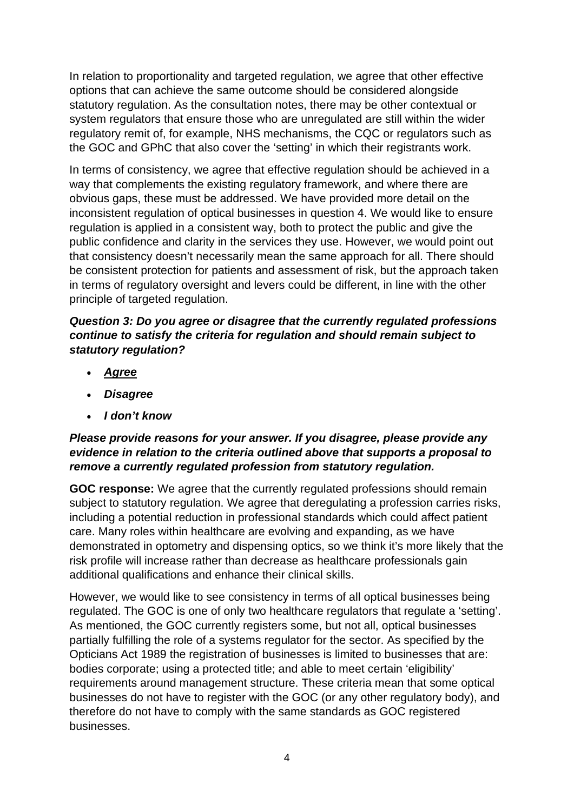In relation to proportionality and targeted regulation, we agree that other effective options that can achieve the same outcome should be considered alongside statutory regulation. As the consultation notes, there may be other contextual or system regulators that ensure those who are unregulated are still within the wider regulatory remit of, for example, NHS mechanisms, the CQC or regulators such as the GOC and GPhC that also cover the 'setting' in which their registrants work.

In terms of consistency, we agree that effective regulation should be achieved in a way that complements the existing regulatory framework, and where there are obvious gaps, these must be addressed. We have provided more detail on the inconsistent regulation of optical businesses in question 4. We would like to ensure regulation is applied in a consistent way, both to protect the public and give the public confidence and clarity in the services they use. However, we would point out that consistency doesn't necessarily mean the same approach for all. There should be consistent protection for patients and assessment of risk, but the approach taken in terms of regulatory oversight and levers could be different, in line with the other principle of targeted regulation.

## *Question 3: Do you agree or disagree that the currently regulated professions continue to satisfy the criteria for regulation and should remain subject to statutory regulation?*

- *Agree*
- *Disagree*
- *I don't know*

# *Please provide reasons for your answer. If you disagree, please provide any evidence in relation to the criteria outlined above that supports a proposal to remove a currently regulated profession from statutory regulation.*

**GOC response:** We agree that the currently regulated professions should remain subject to statutory regulation. We agree that deregulating a profession carries risks, including a potential reduction in professional standards which could affect patient care. Many roles within healthcare are evolving and expanding, as we have demonstrated in optometry and dispensing optics, so we think it's more likely that the risk profile will increase rather than decrease as healthcare professionals gain additional qualifications and enhance their clinical skills.

However, we would like to see consistency in terms of all optical businesses being regulated. The GOC is one of only two healthcare regulators that regulate a 'setting'. As mentioned, the GOC currently registers some, but not all, optical businesses partially fulfilling the role of a systems regulator for the sector. As specified by the Opticians Act 1989 the registration of businesses is limited to businesses that are: bodies corporate; using a protected title; and able to meet certain 'eligibility' requirements around management structure. These criteria mean that some optical businesses do not have to register with the GOC (or any other regulatory body), and therefore do not have to comply with the same standards as GOC registered businesses.